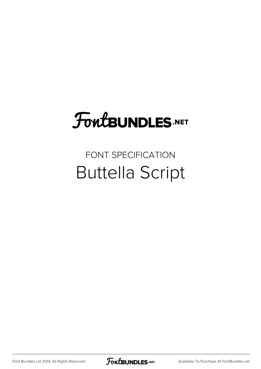## FoutBUNDLES.NET

## FONT SPECIFICATION Buttella Script

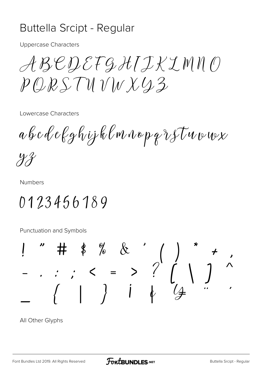## Buttella Srcipt - Regular

**Uppercase Characters** 

ABEDEFGHIJKIMNO  $PQRSTWVWX43$ 

Lowercase Characters

abcdelghijklmnopqrstuvwx

 $\mathcal{Y}\mathcal{X}$ 

**Numbers** 

0123456189

**Punctuation and Symbols** 



All Other Glyphs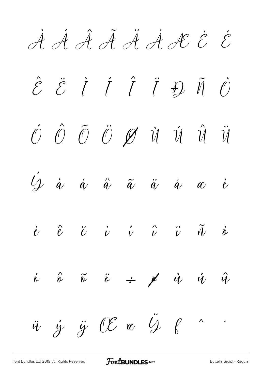À Á Â Ã Ä Å Æ È É  $\hat{\mathcal{E}}$   $\ddot{\mathcal{E}}$   $\dot{I}$   $\dot{I}$   $\ddot{I}$   $\ddot{H}$   $\ddot{O}$  $\acute{\mathcal{O}}$   $\hat{\mathcal{O}}$   $\ddot{\mathcal{O}}$   $\mathcal{O}$   $\dot{\mathcal{O}}$   $\dot{\mathcal{U}}$   $\dot{\mathcal{U}}$   $\dot{\mathcal{U}}$   $\ddot{\mathcal{U}}$   $\ddot{\mathcal{U}}$  $\dot{Q}$  à á  $\hat{a}$   $\tilde{a}$   $\tilde{a}$   $\tilde{a}$   $\tilde{a}$   $\tilde{a}$   $\tilde{a}$   $\tilde{c}$  $\begin{array}{ccccccccccccc} \dot{e} & \hat{e} & \ddot{e} & \dot{\nu} & \dot{\nu} & \dot{\nu} & \ddot{\nu} & \ddot{\nu} & \ddot{\nu} & \dot{\tilde{\nu}} & \dot{\tilde{\nu}} \end{array}$  $\acute{\hat{v}}$   $\hat{\tilde{v}}$   $\ddot{\tilde{v}}$   $\div$   $\cancel{p}$   $\dot{u}$   $\dot{u}$   $\hat{u}$  $\ddot{u}$   $\dot{y}$   $\ddot{y}$   $\alpha$   $\ddot{y}$   $\beta$   $\cdots$ 

[Font Bundles Ltd 2019. All Rights Reserved](https://fontbundles.net/) **FoutBUNDLES.NET** Sunter [Buttella Srcipt - Regular](https://fontbundles.net/)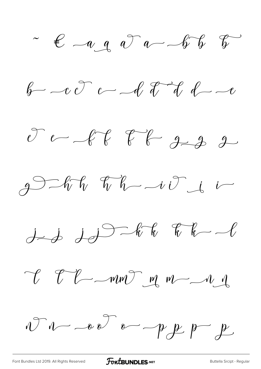$\sim$   $\epsilon$   $\sim$   $\alpha$   $\alpha$   $\sim$   $\sim$   $\sqrt{\ }$   $\sqrt{\ }$ 

 $b - c$   $c - d$  of dd  $d - c$ 

 $20 - 66$   $76 - 9 - 32$ 

 $gD - hF_{v}$   $gF_{v} - ivF_{i} - iF_{i}$ 

 $j$  is  $j$  of  $k$   $k-1$ 

 $V$   $V$   $\sim$   $W$   $\sim$   $W$   $\sim$   $-11$ 

 $NTU-vD$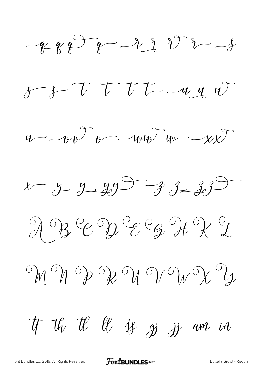$-28878-2288728$ 

 $8 - 8 - 7$  TTT  $-44$ 



 $x - y - 49 - 33 - 33$ 

ABEDEE HRI

 $\mathcal{M} \subset \mathcal{M} \subset \mathcal{M} \subset \mathcal{M} \subset \mathcal{M} \subset \mathcal{M} \subset \mathcal{M} \subset \mathcal{M} \subset \mathcal{M} \subset \mathcal{M} \subset \mathcal{M} \subset \mathcal{M} \subset \mathcal{M} \subset \mathcal{M} \subset \mathcal{M} \subset \mathcal{M} \subset \mathcal{M} \subset \mathcal{M} \subset \mathcal{M} \subset \mathcal{M} \subset \mathcal{M} \subset \mathcal{M} \subset \mathcal{M} \subset \mathcal{M} \subset \mathcal{M} \subset \mathcal{M} \subset \mathcal{M} \subset \mathcal{$ 

If the Il is go if and in